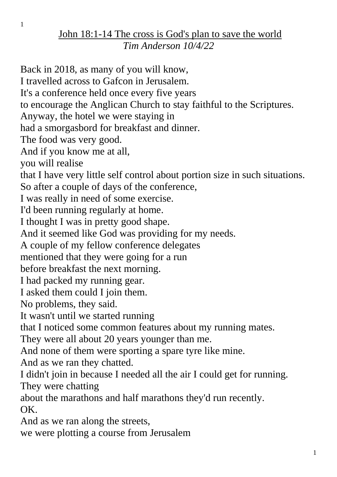## John 18:1-14 The cross is God's plan to save the world *Tim Anderson 10/4/22*

Back in 2018, as many of you will know, I travelled across to Gafcon in Jerusalem. It's a conference held once every five years to encourage the Anglican Church to stay faithful to the Scriptures. Anyway, the hotel we were staying in had a smorgasbord for breakfast and dinner. The food was very good. And if you know me at all, you will realise that I have very little self control about portion size in such situations. So after a couple of days of the conference, I was really in need of some exercise. I'd been running regularly at home. I thought I was in pretty good shape. And it seemed like God was providing for my needs. A couple of my fellow conference delegates mentioned that they were going for a run before breakfast the next morning. I had packed my running gear. I asked them could I join them. No problems, they said. It wasn't until we started running that I noticed some common features about my running mates. They were all about 20 years younger than me. And none of them were sporting a spare tyre like mine. And as we ran they chatted. I didn't join in because I needed all the air I could get for running. They were chatting about the marathons and half marathons they'd run recently. OK. And as we ran along the streets, we were plotting a course from Jerusalem

1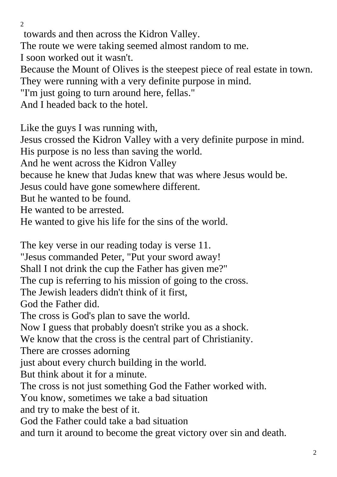$\overline{2}$ 

towards and then across the Kidron Valley.

The route we were taking seemed almost random to me.

I soon worked out it wasn't.

Because the Mount of Olives is the steepest piece of real estate in town. They were running with a very definite purpose in mind.

"I'm just going to turn around here, fellas."

And I headed back to the hotel.

Like the guys I was running with,

Jesus crossed the Kidron Valley with a very definite purpose in mind. His purpose is no less than saving the world.

And he went across the Kidron Valley

because he knew that Judas knew that was where Jesus would be.

Jesus could have gone somewhere different.

But he wanted to be found.

He wanted to be arrested.

He wanted to give his life for the sins of the world.

The key verse in our reading today is verse 11. "Jesus commanded Peter, "Put your sword away! Shall I not drink the cup the Father has given me?" The cup is referring to his mission of going to the cross. The Jewish leaders didn't think of it first, God the Father did. The cross is God's plan to save the world. Now I guess that probably doesn't strike you as a shock. We know that the cross is the central part of Christianity. There are crosses adorning just about every church building in the world. But think about it for a minute. The cross is not just something God the Father worked with. You know, sometimes we take a bad situation and try to make the best of it. God the Father could take a bad situation

and turn it around to become the great victory over sin and death.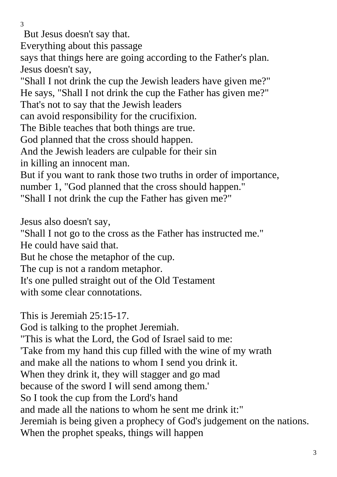But Jesus doesn't say that.

Everything about this passage

says that things here are going according to the Father's plan. Jesus doesn't say,

"Shall I not drink the cup the Jewish leaders have given me?" He says, "Shall I not drink the cup the Father has given me?"

That's not to say that the Jewish leaders

can avoid responsibility for the crucifixion.

The Bible teaches that both things are true.

God planned that the cross should happen.

And the Jewish leaders are culpable for their sin

in killing an innocent man.

But if you want to rank those two truths in order of importance, number 1, "God planned that the cross should happen."

"Shall I not drink the cup the Father has given me?"

Jesus also doesn't say,

"Shall I not go to the cross as the Father has instructed me." He could have said that.

But he chose the metaphor of the cup.

The cup is not a random metaphor.

It's one pulled straight out of the Old Testament

with some clear connotations.

This is Jeremiah 25:15-17.

God is talking to the prophet Jeremiah.

"This is what the Lord, the God of Israel said to me:

'Take from my hand this cup filled with the wine of my wrath

and make all the nations to whom I send you drink it.

When they drink it, they will stagger and go mad

because of the sword I will send among them.'

So I took the cup from the Lord's hand

and made all the nations to whom he sent me drink it:"

Jeremiah is being given a prophecy of God's judgement on the nations.

When the prophet speaks, things will happen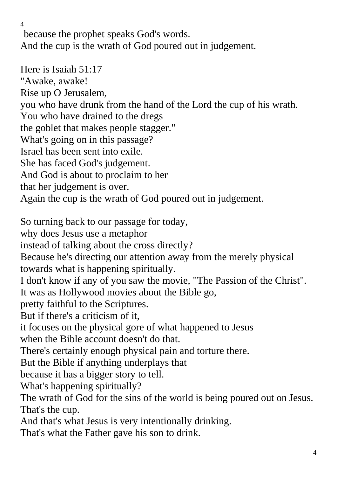because the prophet speaks God's words. And the cup is the wrath of God poured out in judgement.

Here is Isaiah 51:17 "Awake, awake! Rise up O Jerusalem, you who have drunk from the hand of the Lord the cup of his wrath. You who have drained to the dregs the goblet that makes people stagger." What's going on in this passage? Israel has been sent into exile. She has faced God's judgement. And God is about to proclaim to her that her judgement is over. Again the cup is the wrath of God poured out in judgement. So turning back to our passage for today, why does Jesus use a metaphor instead of talking about the cross directly? Because he's directing our attention away from the merely physical towards what is happening spiritually. I don't know if any of you saw the movie, "The Passion of the Christ". It was as Hollywood movies about the Bible go, pretty faithful to the Scriptures. But if there's a criticism of it, it focuses on the physical gore of what happened to Jesus when the Bible account doesn't do that. There's certainly enough physical pain and torture there. But the Bible if anything underplays that because it has a bigger story to tell. What's happening spiritually? The wrath of God for the sins of the world is being poured out on Jesus. That's the cup. And that's what Jesus is very intentionally drinking. That's what the Father gave his son to drink.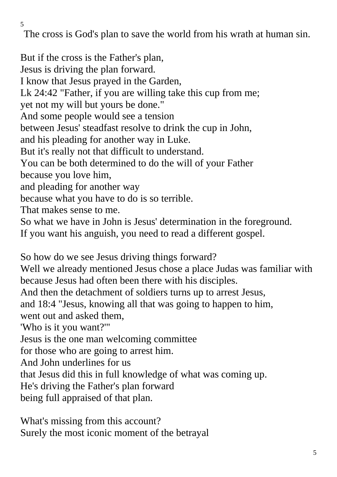The cross is God's plan to save the world from his wrath at human sin.

But if the cross is the Father's plan, Jesus is driving the plan forward. I know that Jesus prayed in the Garden, Lk 24:42 "Father, if you are willing take this cup from me; yet not my will but yours be done." And some people would see a tension between Jesus' steadfast resolve to drink the cup in John, and his pleading for another way in Luke. But it's really not that difficult to understand. You can be both determined to do the will of your Father because you love him, and pleading for another way because what you have to do is so terrible. That makes sense to me. So what we have in John is Jesus' determination in the foreground. If you want his anguish, you need to read a different gospel. So how do we see Jesus driving things forward?

Well we already mentioned Jesus chose a place Judas was familiar with because Jesus had often been there with his disciples.

And then the detachment of soldiers turns up to arrest Jesus,

and 18:4 "Jesus, knowing all that was going to happen to him,

went out and asked them,

'Who is it you want?'"

Jesus is the one man welcoming committee

for those who are going to arrest him.

And John underlines for us

that Jesus did this in full knowledge of what was coming up.

He's driving the Father's plan forward

being full appraised of that plan.

What's missing from this account? Surely the most iconic moment of the betrayal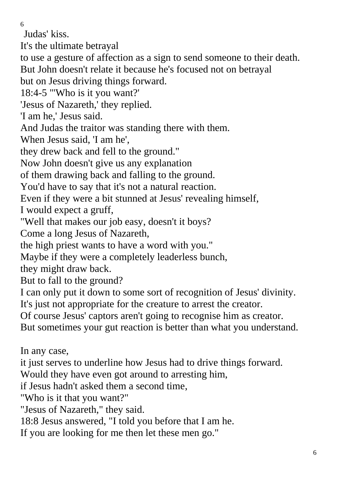Judas' kiss.

It's the ultimate betrayal

to use a gesture of affection as a sign to send someone to their death. But John doesn't relate it because he's focused not on betrayal

but on Jesus driving things forward.

18:4-5 "'Who is it you want?'

'Jesus of Nazareth,' they replied.

'I am he,' Jesus said.

And Judas the traitor was standing there with them.

When Jesus said, 'I am he',

they drew back and fell to the ground."

Now John doesn't give us any explanation

of them drawing back and falling to the ground.

You'd have to say that it's not a natural reaction.

Even if they were a bit stunned at Jesus' revealing himself,

I would expect a gruff,

"Well that makes our job easy, doesn't it boys?

Come a long Jesus of Nazareth,

the high priest wants to have a word with you."

Maybe if they were a completely leaderless bunch,

they might draw back.

But to fall to the ground?

I can only put it down to some sort of recognition of Jesus' divinity. It's just not appropriate for the creature to arrest the creator.

Of course Jesus' captors aren't going to recognise him as creator.

But sometimes your gut reaction is better than what you understand.

In any case,

it just serves to underline how Jesus had to drive things forward.

Would they have even got around to arresting him,

if Jesus hadn't asked them a second time,

"Who is it that you want?"

"Jesus of Nazareth," they said.

18:8 Jesus answered, "I told you before that I am he.

If you are looking for me then let these men go."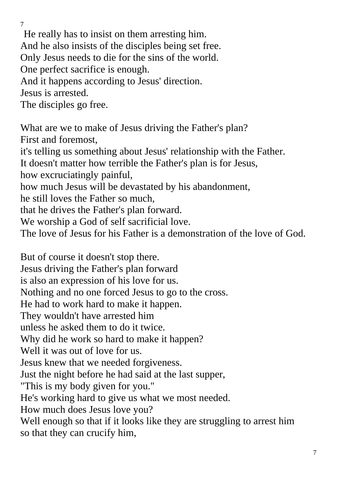He really has to insist on them arresting him. And he also insists of the disciples being set free. Only Jesus needs to die for the sins of the world. One perfect sacrifice is enough. And it happens according to Jesus' direction. Jesus is arrested. The disciples go free. What are we to make of Jesus driving the Father's plan? First and foremost,

it's telling us something about Jesus' relationship with the Father. It doesn't matter how terrible the Father's plan is for Jesus,

how excruciatingly painful,

7

how much Jesus will be devastated by his abandonment,

he still loves the Father so much,

that he drives the Father's plan forward.

We worship a God of self sacrificial love.

The love of Jesus for his Father is a demonstration of the love of God.

But of course it doesn't stop there. Jesus driving the Father's plan forward is also an expression of his love for us. Nothing and no one forced Jesus to go to the cross. He had to work hard to make it happen. They wouldn't have arrested him unless he asked them to do it twice. Why did he work so hard to make it happen? Well it was out of love for us. Jesus knew that we needed forgiveness. Just the night before he had said at the last supper, "This is my body given for you." He's working hard to give us what we most needed. How much does Jesus love you? Well enough so that if it looks like they are struggling to arrest him so that they can crucify him,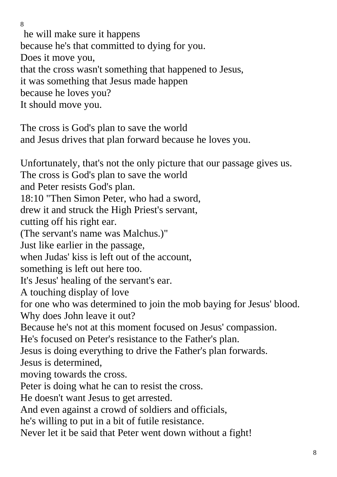8 he will make sure it happens because he's that committed to dying for you. Does it move you, that the cross wasn't something that happened to Jesus, it was something that Jesus made happen because he loves you? It should move you.

The cross is God's plan to save the world and Jesus drives that plan forward because he loves you.

Unfortunately, that's not the only picture that our passage gives us. The cross is God's plan to save the world and Peter resists God's plan. 18:10 "Then Simon Peter, who had a sword, drew it and struck the High Priest's servant, cutting off his right ear. (The servant's name was Malchus.)" Just like earlier in the passage, when Judas' kiss is left out of the account, something is left out here too. It's Jesus' healing of the servant's ear. A touching display of love for one who was determined to join the mob baying for Jesus' blood. Why does John leave it out? Because he's not at this moment focused on Jesus' compassion. He's focused on Peter's resistance to the Father's plan. Jesus is doing everything to drive the Father's plan forwards. Jesus is determined, moving towards the cross. Peter is doing what he can to resist the cross. He doesn't want Jesus to get arrested. And even against a crowd of soldiers and officials, he's willing to put in a bit of futile resistance. Never let it be said that Peter went down without a fight!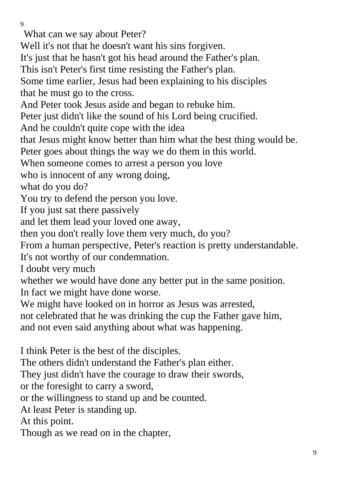What can we say about Peter?

Well it's not that he doesn't want his sins forgiven.

It's just that he hasn't got his head around the Father's plan.

This isn't Peter's first time resisting the Father's plan.

Some time earlier, Jesus had been explaining to his disciples that he must go to the cross.

And Peter took Jesus aside and began to rebuke him.

Peter just didn't like the sound of his Lord being crucified.

And he couldn't quite cope with the idea

that Jesus might know better than him what the best thing would be.

Peter goes about things the way we do them in this world.

When someone comes to arrest a person you love

who is innocent of any wrong doing,

what do you do?

You try to defend the person you love.

If you just sat there passively

and let them lead your loved one away,

then you don't really love them very much, do you?

From a human perspective, Peter's reaction is pretty understandable.

It's not worthy of our condemnation.

I doubt very much

whether we would have done any better put in the same position.

In fact we might have done worse.

We might have looked on in horror as Jesus was arrested,

not celebrated that he was drinking the cup the Father gave him, and not even said anything about what was happening.

I think Peter is the best of the disciples.

The others didn't understand the Father's plan either.

They just didn't have the courage to draw their swords,

or the foresight to carry a sword,

or the willingness to stand up and be counted.

At least Peter is standing up.

At this point.

Though as we read on in the chapter,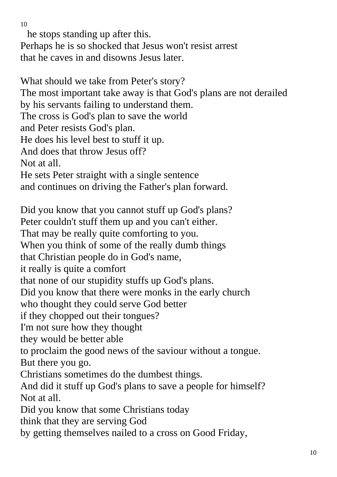he stops standing up after this.

Perhaps he is so shocked that Jesus won't resist arrest that he caves in and disowns Jesus later.

What should we take from Peter's story? The most important take away is that God's plans are not derailed by his servants failing to understand them. The cross is God's plan to save the world and Peter resists God's plan. He does his level best to stuff it up. And does that throw Jesus off? Not at all. He sets Peter straight with a single sentence and continues on driving the Father's plan forward.

Did you know that you cannot stuff up God's plans? Peter couldn't stuff them up and you can't either. That may be really quite comforting to you. When you think of some of the really dumb things that Christian people do in God's name, it really is quite a comfort that none of our stupidity stuffs up God's plans. Did you know that there were monks in the early church who thought they could serve God better if they chopped out their tongues? I'm not sure how they thought they would be better able to proclaim the good news of the saviour without a tongue. But there you go. Christians sometimes do the dumbest things. And did it stuff up God's plans to save a people for himself? Not at all. Did you know that some Christians today think that they are serving God by getting themselves nailed to a cross on Good Friday,